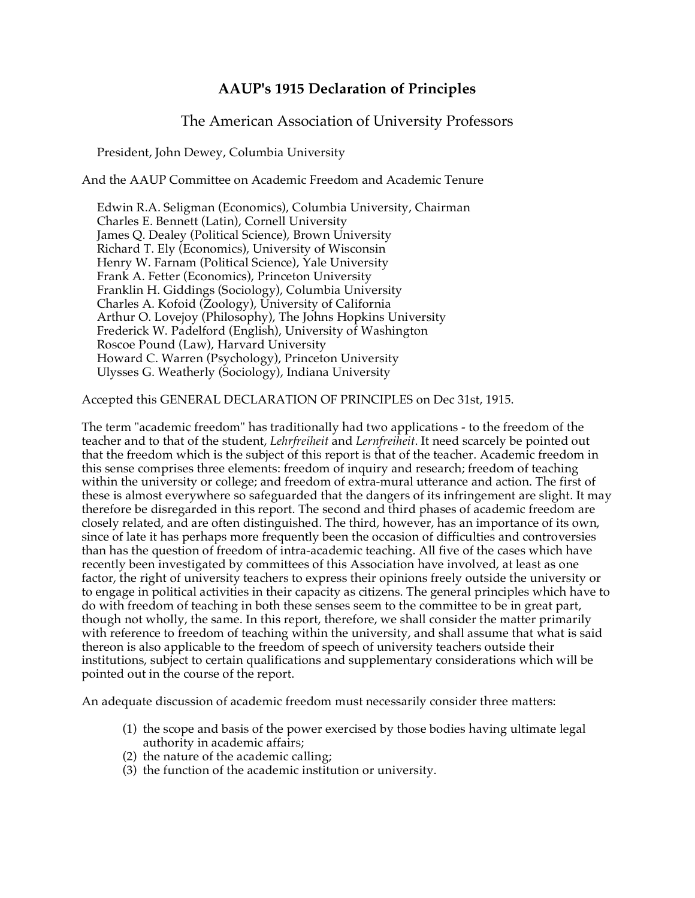# **AAUP's 1915 Declaration of Principles**

## The American Association of University Professors

## President, John Dewey, Columbia University

And the AAUP Committee on Academic Freedom and Academic Tenure

Edwin R.A. Seligman (Economics), Columbia University, Chairman Charles E. Bennett (Latin), Cornell University James Q. Dealey (Political Science), Brown University Richard T. Ely (Economics), University of Wisconsin Henry W. Farnam (Political Science), Yale University Frank A. Fetter (Economics), Princeton University Franklin H. Giddings (Sociology), Columbia University Charles A. Kofoid (Zoology), University of California Arthur O. Lovejoy (Philosophy), The Johns Hopkins University Frederick W. Padelford (English), University of Washington Roscoe Pound (Law), Harvard University Howard C. Warren (Psychology), Princeton University Ulysses G. Weatherly (Sociology), Indiana University

Accepted this GENERAL DECLARATION OF PRINCIPLES on Dec 31st, 1915.

The term "academic freedom" has traditionally had two applications - to the freedom of the teacher and to that of the student, *Lehrfreiheit* and *Lernfreiheit*. It need scarcely be pointed out that the freedom which is the subject of this report is that of the teacher. Academic freedom in this sense comprises three elements: freedom of inquiry and research; freedom of teaching within the university or college; and freedom of extra-mural utterance and action. The first of these is almost everywhere so safeguarded that the dangers of its infringement are slight. It may therefore be disregarded in this report. The second and third phases of academic freedom are closely related, and are often distinguished. The third, however, has an importance of its own, since of late it has perhaps more frequently been the occasion of difficulties and controversies than has the question of freedom of intra-academic teaching. All five of the cases which have recently been investigated by committees of this Association have involved, at least as one factor, the right of university teachers to express their opinions freely outside the university or to engage in political activities in their capacity as citizens. The general principles which have to do with freedom of teaching in both these senses seem to the committee to be in great part, though not wholly, the same. In this report, therefore, we shall consider the matter primarily with reference to freedom of teaching within the university, and shall assume that what is said thereon is also applicable to the freedom of speech of university teachers outside their institutions, subject to certain qualifications and supplementary considerations which will be pointed out in the course of the report.

An adequate discussion of academic freedom must necessarily consider three matters:

- (1) the scope and basis of the power exercised by those bodies having ultimate legal authority in academic affairs;
- (2) the nature of the academic calling;
- (3) the function of the academic institution or university.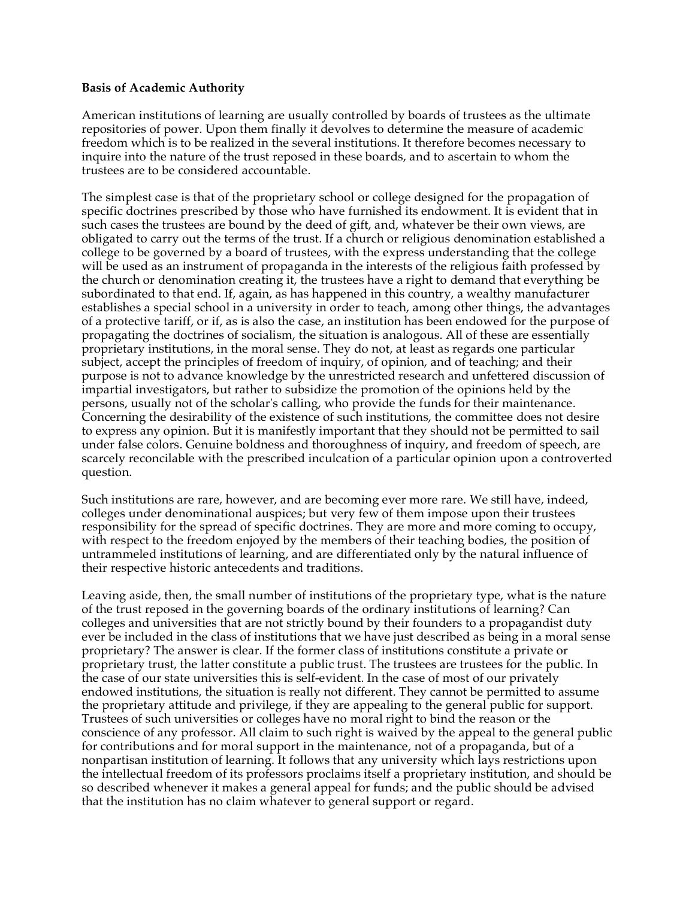#### **Basis of Academic Authority**

American institutions of learning are usually controlled by boards of trustees as the ultimate repositories of power. Upon them finally it devolves to determine the measure of academic freedom which is to be realized in the several institutions. It therefore becomes necessary to inquire into the nature of the trust reposed in these boards, and to ascertain to whom the trustees are to be considered accountable.

The simplest case is that of the proprietary school or college designed for the propagation of specific doctrines prescribed by those who have furnished its endowment. It is evident that in such cases the trustees are bound by the deed of gift, and, whatever be their own views, are obligated to carry out the terms of the trust. If a church or religious denomination established a college to be governed by a board of trustees, with the express understanding that the college will be used as an instrument of propaganda in the interests of the religious faith professed by the church or denomination creating it, the trustees have a right to demand that everything be subordinated to that end. If, again, as has happened in this country, a wealthy manufacturer establishes a special school in a university in order to teach, among other things, the advantages of a protective tariff, or if, as is also the case, an institution has been endowed for the purpose of propagating the doctrines of socialism, the situation is analogous. All of these are essentially proprietary institutions, in the moral sense. They do not, at least as regards one particular subject, accept the principles of freedom of inquiry, of opinion, and of teaching; and their purpose is not to advance knowledge by the unrestricted research and unfettered discussion of impartial investigators, but rather to subsidize the promotion of the opinions held by the persons, usually not of the scholar's calling, who provide the funds for their maintenance. Concerning the desirability of the existence of such institutions, the committee does not desire to express any opinion. But it is manifestly important that they should not be permitted to sail under false colors. Genuine boldness and thoroughness of inquiry, and freedom of speech, are scarcely reconcilable with the prescribed inculcation of a particular opinion upon a controverted question.

Such institutions are rare, however, and are becoming ever more rare. We still have, indeed, colleges under denominational auspices; but very few of them impose upon their trustees responsibility for the spread of specific doctrines. They are more and more coming to occupy, with respect to the freedom enjoyed by the members of their teaching bodies, the position of untrammeled institutions of learning, and are differentiated only by the natural influence of their respective historic antecedents and traditions.

Leaving aside, then, the small number of institutions of the proprietary type, what is the nature of the trust reposed in the governing boards of the ordinary institutions of learning? Can colleges and universities that are not strictly bound by their founders to a propagandist duty ever be included in the class of institutions that we have just described as being in a moral sense proprietary? The answer is clear. If the former class of institutions constitute a private or proprietary trust, the latter constitute a public trust. The trustees are trustees for the public. In the case of our state universities this is self-evident. In the case of most of our privately endowed institutions, the situation is really not different. They cannot be permitted to assume the proprietary attitude and privilege, if they are appealing to the general public for support. Trustees of such universities or colleges have no moral right to bind the reason or the conscience of any professor. All claim to such right is waived by the appeal to the general public for contributions and for moral support in the maintenance, not of a propaganda, but of a nonpartisan institution of learning. It follows that any university which lays restrictions upon the intellectual freedom of its professors proclaims itself a proprietary institution, and should be so described whenever it makes a general appeal for funds; and the public should be advised that the institution has no claim whatever to general support or regard.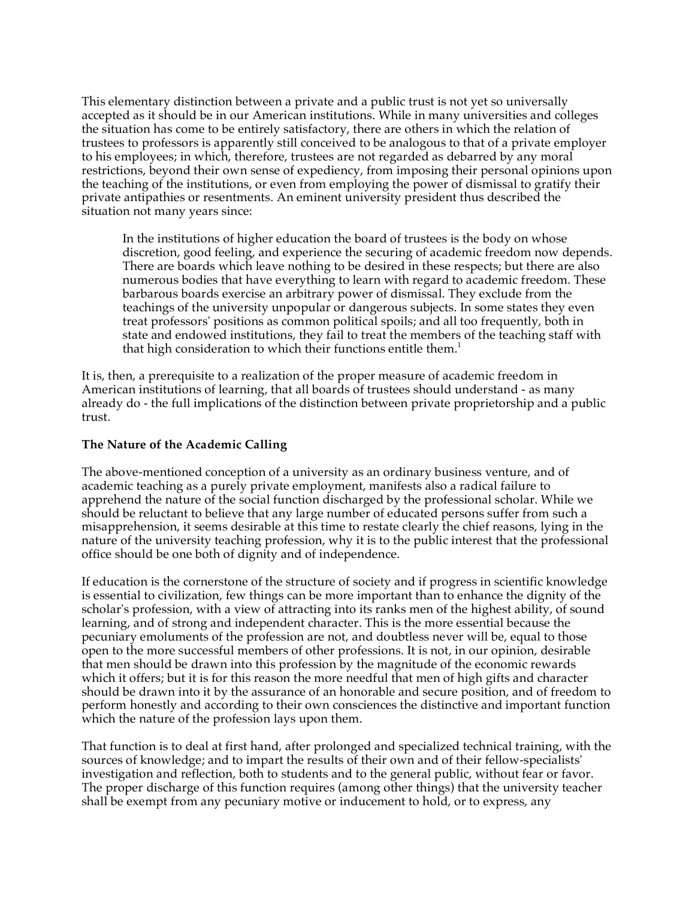This elementary distinction between a private and a public trust is not yet so universally accepted as it should be in our American institutions. While in many universities and colleges the situation has come to be entirely satisfactory, there are others in which the relation of trustees to professors is apparently still conceived to be analogous to that of a private employer to his employees; in which, therefore, trustees are not regarded as debarred by any moral restrictions, beyond their own sense of expediency, from imposing their personal opinions upon the teaching of the institutions, or even from employing the power of dismissal to gratify their private antipathies or resentments. An eminent university president thus described the situation not many years since:

In the institutions of higher education the board of trustees is the body on whose discretion, good feeling, and experience the securing of academic freedom now depends. There are boards which leave nothing to be desired in these respects; but there are also numerous bodies that have everything to learn with regard to academic freedom. These barbarous boards exercise an arbitrary power of dismissal. They exclude from the teachings of the university unpopular or dangerous subjects. In some states they even treat professors' positions as common political spoils; and all too frequently, both in state and endowed institutions, they fail to treat the members of the teaching staff with that high consideration to which their functions entitle them.<sup>1</sup>

It is, then, a prerequisite to a realization of the proper measure of academic freedom in American institutions of learning, that all boards of trustees should understand - as many already do - the full implications of the distinction between private proprietorship and a public trust.

## **The Nature of the Academic Calling**

The above-mentioned conception of a university as an ordinary business venture, and of academic teaching as a purely private employment, manifests also a radical failure to apprehend the nature of the social function discharged by the professional scholar. While we should be reluctant to believe that any large number of educated persons suffer from such a misapprehension, it seems desirable at this time to restate clearly the chief reasons, lying in the nature of the university teaching profession, why it is to the public interest that the professional office should be one both of dignity and of independence.

If education is the cornerstone of the structure of society and if progress in scientific knowledge is essential to civilization, few things can be more important than to enhance the dignity of the scholar's profession, with a view of attracting into its ranks men of the highest ability, of sound learning, and of strong and independent character. This is the more essential because the pecuniary emoluments of the profession are not, and doubtless never will be, equal to those open to the more successful members of other professions. It is not, in our opinion, desirable that men should be drawn into this profession by the magnitude of the economic rewards which it offers; but it is for this reason the more needful that men of high gifts and character should be drawn into it by the assurance of an honorable and secure position, and of freedom to perform honestly and according to their own consciences the distinctive and important function which the nature of the profession lays upon them.

That function is to deal at first hand, after prolonged and specialized technical training, with the sources of knowledge; and to impart the results of their own and of their fellow-specialists' investigation and reflection, both to students and to the general public, without fear or favor. The proper discharge of this function requires (among other things) that the university teacher shall be exempt from any pecuniary motive or inducement to hold, or to express, any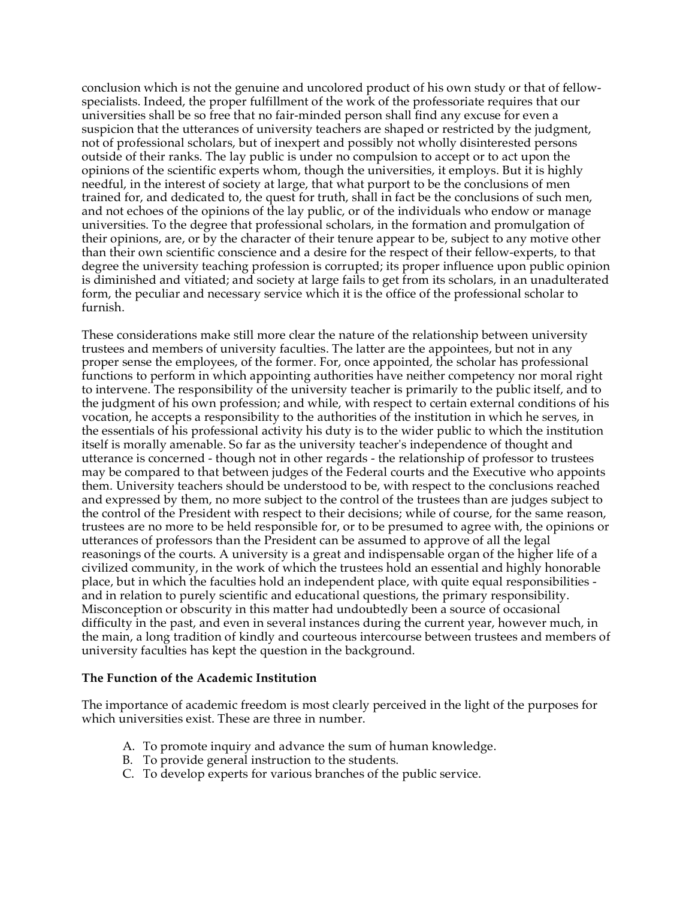conclusion which is not the genuine and uncolored product of his own study or that of fellowspecialists. Indeed, the proper fulfillment of the work of the professoriate requires that our universities shall be so free that no fair-minded person shall find any excuse for even a suspicion that the utterances of university teachers are shaped or restricted by the judgment, not of professional scholars, but of inexpert and possibly not wholly disinterested persons outside of their ranks. The lay public is under no compulsion to accept or to act upon the opinions of the scientific experts whom, though the universities, it employs. But it is highly needful, in the interest of society at large, that what purport to be the conclusions of men trained for, and dedicated to, the quest for truth, shall in fact be the conclusions of such men, and not echoes of the opinions of the lay public, or of the individuals who endow or manage universities. To the degree that professional scholars, in the formation and promulgation of their opinions, are, or by the character of their tenure appear to be, subject to any motive other than their own scientific conscience and a desire for the respect of their fellow-experts, to that degree the university teaching profession is corrupted; its proper influence upon public opinion is diminished and vitiated; and society at large fails to get from its scholars, in an unadulterated form, the peculiar and necessary service which it is the office of the professional scholar to furnish.

These considerations make still more clear the nature of the relationship between university trustees and members of university faculties. The latter are the appointees, but not in any proper sense the employees, of the former. For, once appointed, the scholar has professional functions to perform in which appointing authorities have neither competency nor moral right to intervene. The responsibility of the university teacher is primarily to the public itself, and to the judgment of his own profession; and while, with respect to certain external conditions of his vocation, he accepts a responsibility to the authorities of the institution in which he serves, in the essentials of his professional activity his duty is to the wider public to which the institution itself is morally amenable. So far as the university teacher's independence of thought and utterance is concerned - though not in other regards - the relationship of professor to trustees may be compared to that between judges of the Federal courts and the Executive who appoints them. University teachers should be understood to be, with respect to the conclusions reached and expressed by them, no more subject to the control of the trustees than are judges subject to the control of the President with respect to their decisions; while of course, for the same reason, trustees are no more to be held responsible for, or to be presumed to agree with, the opinions or utterances of professors than the President can be assumed to approve of all the legal reasonings of the courts. A university is a great and indispensable organ of the higher life of a civilized community, in the work of which the trustees hold an essential and highly honorable place, but in which the faculties hold an independent place, with quite equal responsibilities and in relation to purely scientific and educational questions, the primary responsibility. Misconception or obscurity in this matter had undoubtedly been a source of occasional difficulty in the past, and even in several instances during the current year, however much, in the main, a long tradition of kindly and courteous intercourse between trustees and members of university faculties has kept the question in the background.

#### **The Function of the Academic Institution**

The importance of academic freedom is most clearly perceived in the light of the purposes for which universities exist. These are three in number.

- A. To promote inquiry and advance the sum of human knowledge.
- B. To provide general instruction to the students.
- C. To develop experts for various branches of the public service.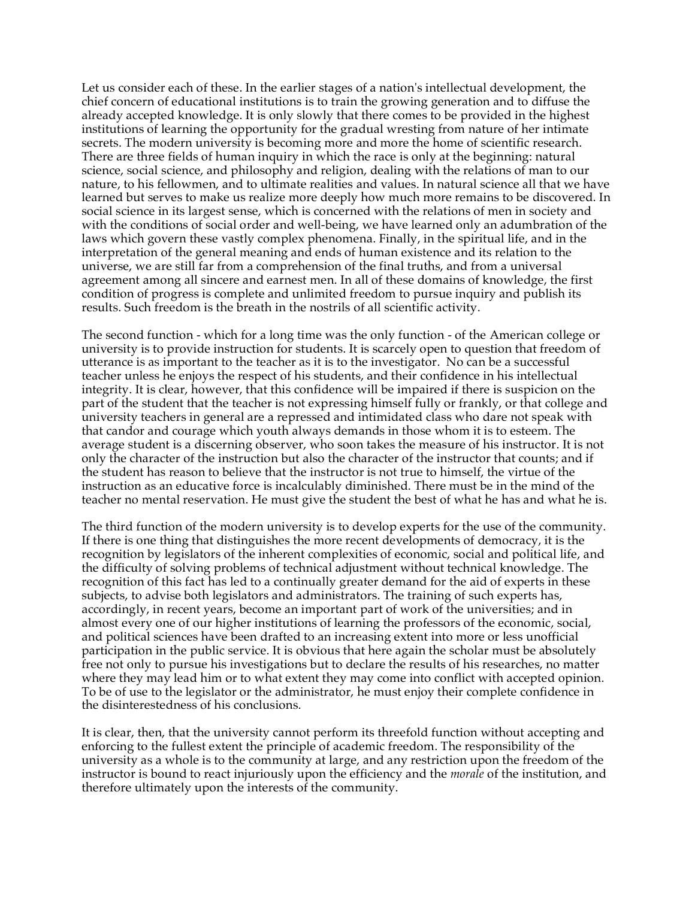Let us consider each of these. In the earlier stages of a nation's intellectual development, the chief concern of educational institutions is to train the growing generation and to diffuse the already accepted knowledge. It is only slowly that there comes to be provided in the highest institutions of learning the opportunity for the gradual wresting from nature of her intimate secrets. The modern university is becoming more and more the home of scientific research. There are three fields of human inquiry in which the race is only at the beginning: natural science, social science, and philosophy and religion, dealing with the relations of man to our nature, to his fellowmen, and to ultimate realities and values. In natural science all that we have learned but serves to make us realize more deeply how much more remains to be discovered. In social science in its largest sense, which is concerned with the relations of men in society and with the conditions of social order and well-being, we have learned only an adumbration of the laws which govern these vastly complex phenomena. Finally, in the spiritual life, and in the interpretation of the general meaning and ends of human existence and its relation to the universe, we are still far from a comprehension of the final truths, and from a universal agreement among all sincere and earnest men. In all of these domains of knowledge, the first condition of progress is complete and unlimited freedom to pursue inquiry and publish its results. Such freedom is the breath in the nostrils of all scientific activity.

The second function - which for a long time was the only function - of the American college or university is to provide instruction for students. It is scarcely open to question that freedom of utterance is as important to the teacher as it is to the investigator. No can be a successful teacher unless he enjoys the respect of his students, and their confidence in his intellectual integrity. It is clear, however, that this confidence will be impaired if there is suspicion on the part of the student that the teacher is not expressing himself fully or frankly, or that college and university teachers in general are a repressed and intimidated class who dare not speak with that candor and courage which youth always demands in those whom it is to esteem. The average student is a discerning observer, who soon takes the measure of his instructor. It is not only the character of the instruction but also the character of the instructor that counts; and if the student has reason to believe that the instructor is not true to himself, the virtue of the instruction as an educative force is incalculably diminished. There must be in the mind of the teacher no mental reservation. He must give the student the best of what he has and what he is.

The third function of the modern university is to develop experts for the use of the community. If there is one thing that distinguishes the more recent developments of democracy, it is the recognition by legislators of the inherent complexities of economic, social and political life, and the difficulty of solving problems of technical adjustment without technical knowledge. The recognition of this fact has led to a continually greater demand for the aid of experts in these subjects, to advise both legislators and administrators. The training of such experts has, accordingly, in recent years, become an important part of work of the universities; and in almost every one of our higher institutions of learning the professors of the economic, social, and political sciences have been drafted to an increasing extent into more or less unofficial participation in the public service. It is obvious that here again the scholar must be absolutely free not only to pursue his investigations but to declare the results of his researches, no matter where they may lead him or to what extent they may come into conflict with accepted opinion. To be of use to the legislator or the administrator, he must enjoy their complete confidence in the disinterestedness of his conclusions.

It is clear, then, that the university cannot perform its threefold function without accepting and enforcing to the fullest extent the principle of academic freedom. The responsibility of the university as a whole is to the community at large, and any restriction upon the freedom of the instructor is bound to react injuriously upon the efficiency and the *morale* of the institution, and therefore ultimately upon the interests of the community.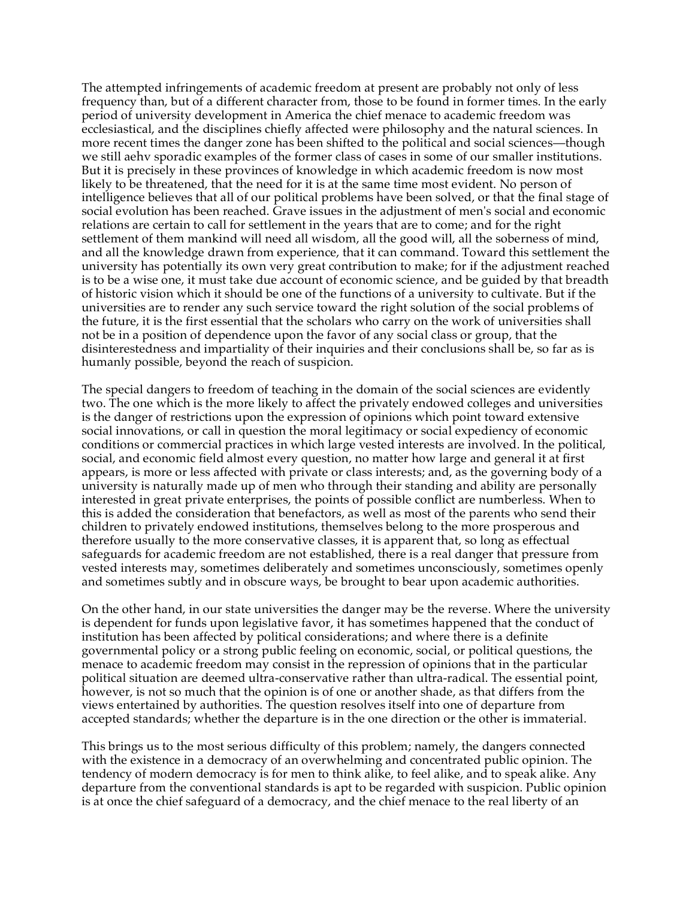The attempted infringements of academic freedom at present are probably not only of less frequency than, but of a different character from, those to be found in former times. In the early period of university development in America the chief menace to academic freedom was ecclesiastical, and the disciplines chiefly affected were philosophy and the natural sciences. In more recent times the danger zone has been shifted to the political and social sciences—though we still aehv sporadic examples of the former class of cases in some of our smaller institutions. But it is precisely in these provinces of knowledge in which academic freedom is now most likely to be threatened, that the need for it is at the same time most evident. No person of intelligence believes that all of our political problems have been solved, or that the final stage of social evolution has been reached. Grave issues in the adjustment of men's social and economic relations are certain to call for settlement in the years that are to come; and for the right settlement of them mankind will need all wisdom, all the good will, all the soberness of mind, and all the knowledge drawn from experience, that it can command. Toward this settlement the university has potentially its own very great contribution to make; for if the adjustment reached is to be a wise one, it must take due account of economic science, and be guided by that breadth of historic vision which it should be one of the functions of a university to cultivate. But if the universities are to render any such service toward the right solution of the social problems of the future, it is the first essential that the scholars who carry on the work of universities shall not be in a position of dependence upon the favor of any social class or group, that the disinterestedness and impartiality of their inquiries and their conclusions shall be, so far as is humanly possible, beyond the reach of suspicion.

The special dangers to freedom of teaching in the domain of the social sciences are evidently two. The one which is the more likely to affect the privately endowed colleges and universities is the danger of restrictions upon the expression of opinions which point toward extensive social innovations, or call in question the moral legitimacy or social expediency of economic conditions or commercial practices in which large vested interests are involved. In the political, social, and economic field almost every question, no matter how large and general it at first appears, is more or less affected with private or class interests; and, as the governing body of a university is naturally made up of men who through their standing and ability are personally interested in great private enterprises, the points of possible conflict are numberless. When to this is added the consideration that benefactors, as well as most of the parents who send their children to privately endowed institutions, themselves belong to the more prosperous and therefore usually to the more conservative classes, it is apparent that, so long as effectual safeguards for academic freedom are not established, there is a real danger that pressure from vested interests may, sometimes deliberately and sometimes unconsciously, sometimes openly and sometimes subtly and in obscure ways, be brought to bear upon academic authorities.

On the other hand, in our state universities the danger may be the reverse. Where the university is dependent for funds upon legislative favor, it has sometimes happened that the conduct of institution has been affected by political considerations; and where there is a definite governmental policy or a strong public feeling on economic, social, or political questions, the menace to academic freedom may consist in the repression of opinions that in the particular political situation are deemed ultra-conservative rather than ultra-radical. The essential point, however, is not so much that the opinion is of one or another shade, as that differs from the views entertained by authorities. The question resolves itself into one of departure from accepted standards; whether the departure is in the one direction or the other is immaterial.

This brings us to the most serious difficulty of this problem; namely, the dangers connected with the existence in a democracy of an overwhelming and concentrated public opinion. The tendency of modern democracy is for men to think alike, to feel alike, and to speak alike. Any departure from the conventional standards is apt to be regarded with suspicion. Public opinion is at once the chief safeguard of a democracy, and the chief menace to the real liberty of an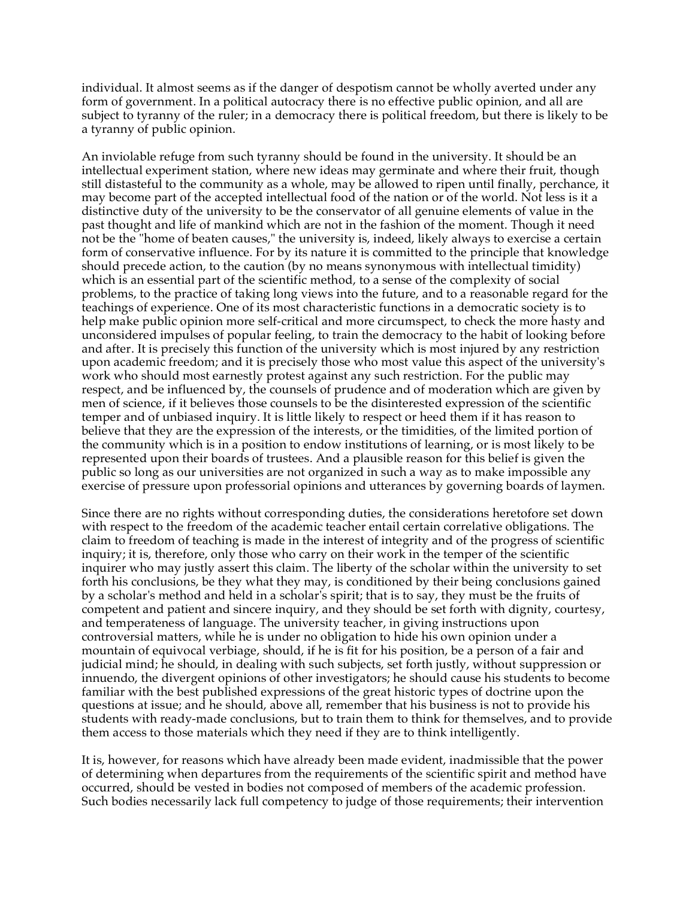individual. It almost seems as if the danger of despotism cannot be wholly averted under any form of government. In a political autocracy there is no effective public opinion, and all are subject to tyranny of the ruler; in a democracy there is political freedom, but there is likely to be a tyranny of public opinion.

An inviolable refuge from such tyranny should be found in the university. It should be an intellectual experiment station, where new ideas may germinate and where their fruit, though still distasteful to the community as a whole, may be allowed to ripen until finally, perchance, it may become part of the accepted intellectual food of the nation or of the world. Not less is it a distinctive duty of the university to be the conservator of all genuine elements of value in the past thought and life of mankind which are not in the fashion of the moment. Though it need not be the "home of beaten causes," the university is, indeed, likely always to exercise a certain form of conservative influence. For by its nature it is committed to the principle that knowledge should precede action, to the caution (by no means synonymous with intellectual timidity) which is an essential part of the scientific method, to a sense of the complexity of social problems, to the practice of taking long views into the future, and to a reasonable regard for the teachings of experience. One of its most characteristic functions in a democratic society is to help make public opinion more self-critical and more circumspect, to check the more hasty and unconsidered impulses of popular feeling, to train the democracy to the habit of looking before and after. It is precisely this function of the university which is most injured by any restriction upon academic freedom; and it is precisely those who most value this aspect of the university's work who should most earnestly protest against any such restriction. For the public may respect, and be influenced by, the counsels of prudence and of moderation which are given by men of science, if it believes those counsels to be the disinterested expression of the scientific temper and of unbiased inquiry. It is little likely to respect or heed them if it has reason to believe that they are the expression of the interests, or the timidities, of the limited portion of the community which is in a position to endow institutions of learning, or is most likely to be represented upon their boards of trustees. And a plausible reason for this belief is given the public so long as our universities are not organized in such a way as to make impossible any exercise of pressure upon professorial opinions and utterances by governing boards of laymen.

Since there are no rights without corresponding duties, the considerations heretofore set down with respect to the freedom of the academic teacher entail certain correlative obligations. The claim to freedom of teaching is made in the interest of integrity and of the progress of scientific inquiry; it is, therefore, only those who carry on their work in the temper of the scientific inquirer who may justly assert this claim. The liberty of the scholar within the university to set forth his conclusions, be they what they may, is conditioned by their being conclusions gained by a scholar's method and held in a scholar's spirit; that is to say, they must be the fruits of competent and patient and sincere inquiry, and they should be set forth with dignity, courtesy, and temperateness of language. The university teacher, in giving instructions upon controversial matters, while he is under no obligation to hide his own opinion under a mountain of equivocal verbiage, should, if he is fit for his position, be a person of a fair and judicial mind; he should, in dealing with such subjects, set forth justly, without suppression or innuendo, the divergent opinions of other investigators; he should cause his students to become familiar with the best published expressions of the great historic types of doctrine upon the questions at issue; and he should, above all, remember that his business is not to provide his students with ready-made conclusions, but to train them to think for themselves, and to provide them access to those materials which they need if they are to think intelligently.

It is, however, for reasons which have already been made evident, inadmissible that the power of determining when departures from the requirements of the scientific spirit and method have occurred, should be vested in bodies not composed of members of the academic profession. Such bodies necessarily lack full competency to judge of those requirements; their intervention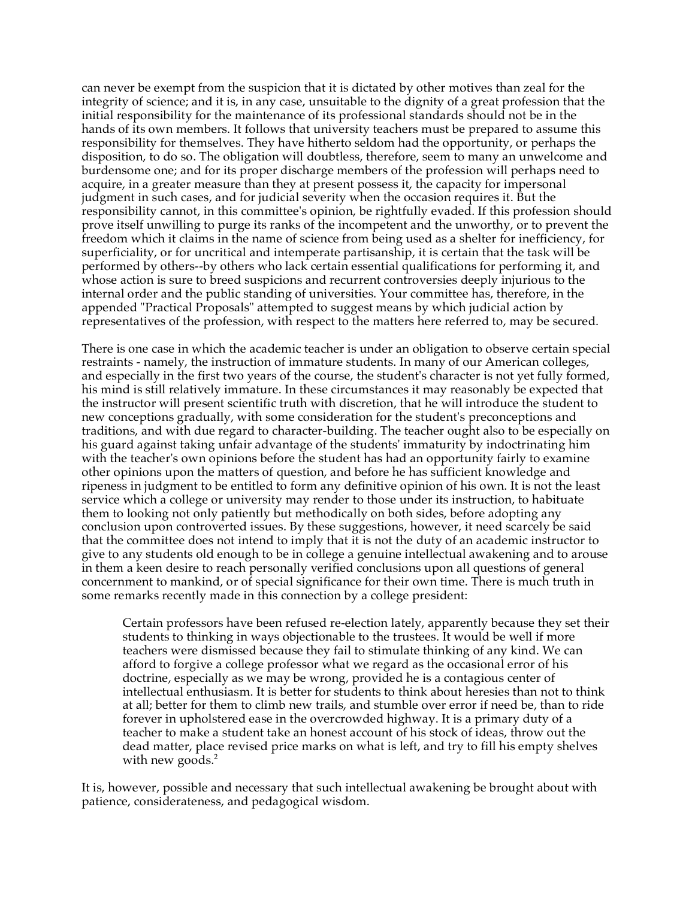can never be exempt from the suspicion that it is dictated by other motives than zeal for the integrity of science; and it is, in any case, unsuitable to the dignity of a great profession that the initial responsibility for the maintenance of its professional standards should not be in the hands of its own members. It follows that university teachers must be prepared to assume this responsibility for themselves. They have hitherto seldom had the opportunity, or perhaps the disposition, to do so. The obligation will doubtless, therefore, seem to many an unwelcome and burdensome one; and for its proper discharge members of the profession will perhaps need to acquire, in a greater measure than they at present possess it, the capacity for impersonal judgment in such cases, and for judicial severity when the occasion requires it. But the responsibility cannot, in this committee's opinion, be rightfully evaded. If this profession should prove itself unwilling to purge its ranks of the incompetent and the unworthy, or to prevent the freedom which it claims in the name of science from being used as a shelter for inefficiency, for superficiality, or for uncritical and intemperate partisanship, it is certain that the task will be performed by others--by others who lack certain essential qualifications for performing it, and whose action is sure to breed suspicions and recurrent controversies deeply injurious to the internal order and the public standing of universities. Your committee has, therefore, in the appended "Practical Proposals" attempted to suggest means by which judicial action by representatives of the profession, with respect to the matters here referred to, may be secured.

There is one case in which the academic teacher is under an obligation to observe certain special restraints - namely, the instruction of immature students. In many of our American colleges, and especially in the first two years of the course, the student's character is not yet fully formed, his mind is still relatively immature. In these circumstances it may reasonably be expected that the instructor will present scientific truth with discretion, that he will introduce the student to new conceptions gradually, with some consideration for the student's preconceptions and traditions, and with due regard to character-building. The teacher ought also to be especially on his guard against taking unfair advantage of the students' immaturity by indoctrinating him with the teacher's own opinions before the student has had an opportunity fairly to examine other opinions upon the matters of question, and before he has sufficient knowledge and ripeness in judgment to be entitled to form any definitive opinion of his own. It is not the least service which a college or university may render to those under its instruction, to habituate them to looking not only patiently but methodically on both sides, before adopting any conclusion upon controverted issues. By these suggestions, however, it need scarcely be said that the committee does not intend to imply that it is not the duty of an academic instructor to give to any students old enough to be in college a genuine intellectual awakening and to arouse in them a keen desire to reach personally verified conclusions upon all questions of general concernment to mankind, or of special significance for their own time. There is much truth in some remarks recently made in this connection by a college president:

Certain professors have been refused re-election lately, apparently because they set their students to thinking in ways objectionable to the trustees. It would be well if more teachers were dismissed because they fail to stimulate thinking of any kind. We can afford to forgive a college professor what we regard as the occasional error of his doctrine, especially as we may be wrong, provided he is a contagious center of intellectual enthusiasm. It is better for students to think about heresies than not to think at all; better for them to climb new trails, and stumble over error if need be, than to ride forever in upholstered ease in the overcrowded highway. It is a primary duty of a teacher to make a student take an honest account of his stock of ideas, throw out the dead matter, place revised price marks on what is left, and try to fill his empty shelves with new goods.<sup>2</sup>

It is, however, possible and necessary that such intellectual awakening be brought about with patience, considerateness, and pedagogical wisdom.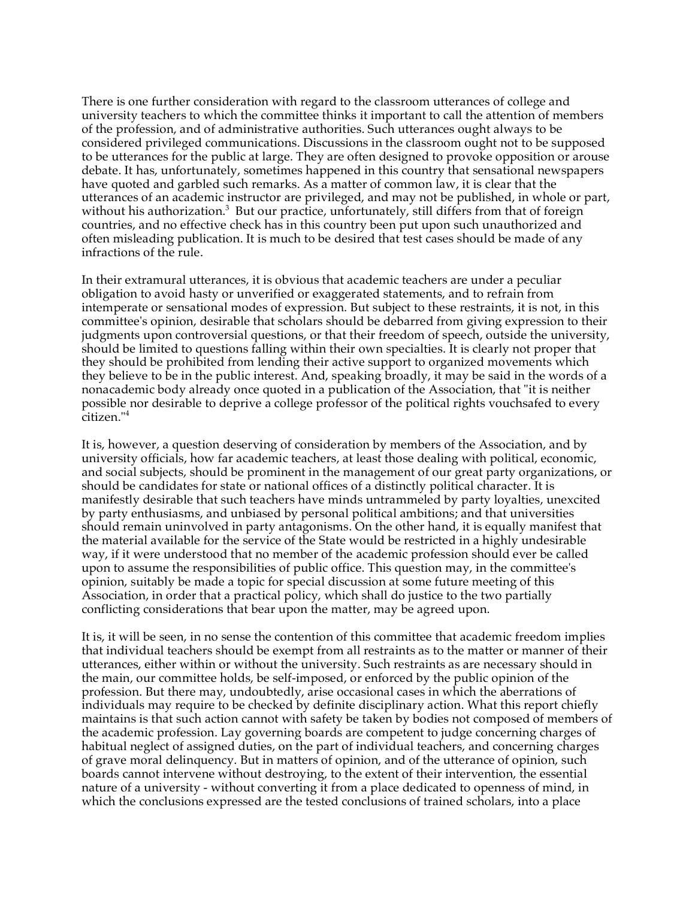There is one further consideration with regard to the classroom utterances of college and university teachers to which the committee thinks it important to call the attention of members of the profession, and of administrative authorities. Such utterances ought always to be considered privileged communications. Discussions in the classroom ought not to be supposed to be utterances for the public at large. They are often designed to provoke opposition or arouse debate. It has, unfortunately, sometimes happened in this country that sensational newspapers have quoted and garbled such remarks. As a matter of common law, it is clear that the utterances of an academic instructor are privileged, and may not be published, in whole or part, without his authorization.<sup>3</sup> But our practice, unfortunately, still differs from that of foreign countries, and no effective check has in this country been put upon such unauthorized and often misleading publication. It is much to be desired that test cases should be made of any infractions of the rule.

In their extramural utterances, it is obvious that academic teachers are under a peculiar obligation to avoid hasty or unverified or exaggerated statements, and to refrain from intemperate or sensational modes of expression. But subject to these restraints, it is not, in this committee's opinion, desirable that scholars should be debarred from giving expression to their judgments upon controversial questions, or that their freedom of speech, outside the university, should be limited to questions falling within their own specialties. It is clearly not proper that they should be prohibited from lending their active support to organized movements which they believe to be in the public interest. And, speaking broadly, it may be said in the words of a nonacademic body already once quoted in a publication of the Association, that "it is neither possible nor desirable to deprive a college professor of the political rights vouchsafed to every citizen." 4

It is, however, a question deserving of consideration by members of the Association, and by university officials, how far academic teachers, at least those dealing with political, economic, and social subjects, should be prominent in the management of our great party organizations, or should be candidates for state or national offices of a distinctly political character. It is manifestly desirable that such teachers have minds untrammeled by party loyalties, unexcited by party enthusiasms, and unbiased by personal political ambitions; and that universities should remain uninvolved in party antagonisms. On the other hand, it is equally manifest that the material available for the service of the State would be restricted in a highly undesirable way, if it were understood that no member of the academic profession should ever be called upon to assume the responsibilities of public office. This question may, in the committee's opinion, suitably be made a topic for special discussion at some future meeting of this Association, in order that a practical policy, which shall do justice to the two partially conflicting considerations that bear upon the matter, may be agreed upon.

It is, it will be seen, in no sense the contention of this committee that academic freedom implies that individual teachers should be exempt from all restraints as to the matter or manner of their utterances, either within or without the university. Such restraints as are necessary should in the main, our committee holds, be self-imposed, or enforced by the public opinion of the profession. But there may, undoubtedly, arise occasional cases in which the aberrations of individuals may require to be checked by definite disciplinary action. What this report chiefly maintains is that such action cannot with safety be taken by bodies not composed of members of the academic profession. Lay governing boards are competent to judge concerning charges of habitual neglect of assigned duties, on the part of individual teachers, and concerning charges of grave moral delinquency. But in matters of opinion, and of the utterance of opinion, such boards cannot intervene without destroying, to the extent of their intervention, the essential nature of a university - without converting it from a place dedicated to openness of mind, in which the conclusions expressed are the tested conclusions of trained scholars, into a place